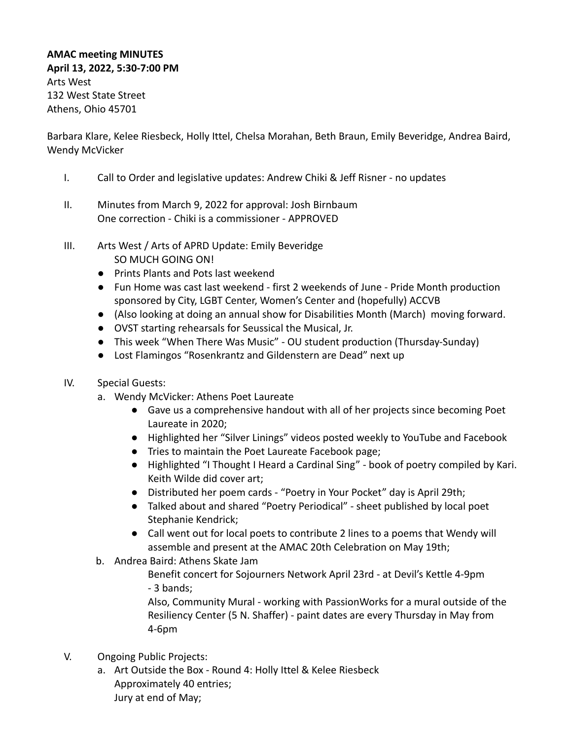## **AMAC meeting MINUTES April 13, 2022, 5:30-7:00 PM** Arts West 132 West State Street Athens, Ohio 45701

Barbara Klare, Kelee Riesbeck, Holly Ittel, Chelsa Morahan, Beth Braun, Emily Beveridge, Andrea Baird, Wendy McVicker

- I. Call to Order and legislative updates: Andrew Chiki & Jeff Risner no updates
- II. Minutes from March 9, 2022 for approval: Josh Birnbaum One correction - Chiki is a commissioner - APPROVED
- III. Arts West / Arts of APRD Update: Emily Beveridge SO MUCH GOING ON!
	- Prints Plants and Pots last weekend
	- Fun Home was cast last weekend first 2 weekends of June Pride Month production sponsored by City, LGBT Center, Women's Center and (hopefully) ACCVB
	- (Also looking at doing an annual show for Disabilities Month (March) moving forward.
	- OVST starting rehearsals for Seussical the Musical, Jr.
	- This week "When There Was Music" OU student production (Thursday-Sunday)
	- Lost Flamingos "Rosenkrantz and Gildenstern are Dead" next up
- IV. Special Guests:
	- a. Wendy McVicker: Athens Poet Laureate
		- Gave us a comprehensive handout with all of her projects since becoming Poet Laureate in 2020;
		- Highlighted her "Silver Linings" videos posted weekly to YouTube and Facebook
		- Tries to maintain the Poet Laureate Facebook page;
		- Highlighted "I Thought I Heard a Cardinal Sing" book of poetry compiled by Kari. Keith Wilde did cover art;
		- Distributed her poem cards "Poetry in Your Pocket" day is April 29th;
		- Talked about and shared "Poetry Periodical" sheet published by local poet Stephanie Kendrick;
		- Call went out for local poets to contribute 2 lines to a poems that Wendy will assemble and present at the AMAC 20th Celebration on May 19th;
	- b. Andrea Baird: Athens Skate Jam

Benefit concert for Sojourners Network April 23rd - at Devil's Kettle 4-9pm - 3 bands;

Also, Community Mural - working with PassionWorks for a mural outside of the Resiliency Center (5 N. Shaffer) - paint dates are every Thursday in May from 4-6pm

- V. Ongoing Public Projects:
	- a. Art Outside the Box Round 4: Holly Ittel & Kelee Riesbeck Approximately 40 entries; Jury at end of May;